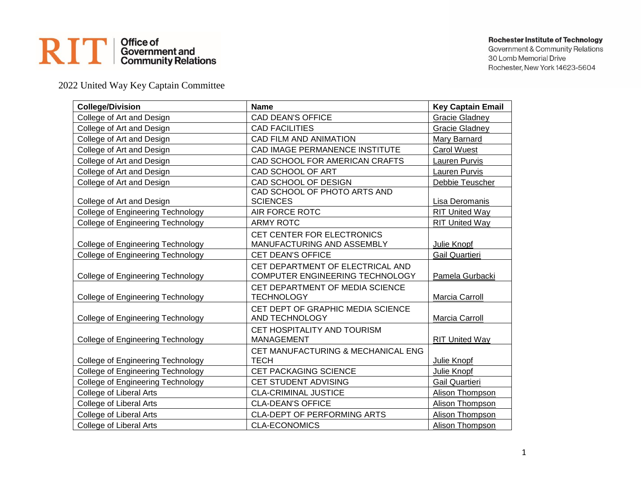## RIT | Office of<br>
Content and<br>
Community Relations

## **Rochester Institute of Technology**

Government & Community Relations 30 Lomb Memorial Drive Rochester, New York 14623-5604

2022 United Way Key Captain Committee

| <b>College/Division</b>                  | <b>Name</b>                                                         | <b>Key Captain Email</b> |
|------------------------------------------|---------------------------------------------------------------------|--------------------------|
| College of Art and Design                | CAD DEAN'S OFFICE                                                   | <b>Gracie Gladney</b>    |
| College of Art and Design                | <b>CAD FACILITIES</b>                                               | Gracie Gladney           |
| College of Art and Design                | CAD FILM AND ANIMATION                                              | Mary Barnard             |
| College of Art and Design                | CAD IMAGE PERMANENCE INSTITUTE                                      | Carol Wuest              |
| College of Art and Design                | CAD SCHOOL FOR AMERICAN CRAFTS                                      | Lauren Purvis            |
| College of Art and Design                | CAD SCHOOL OF ART                                                   | <b>Lauren Purvis</b>     |
| College of Art and Design                | CAD SCHOOL OF DESIGN                                                | Debbie Teuscher          |
| College of Art and Design                | CAD SCHOOL OF PHOTO ARTS AND<br><b>SCIENCES</b>                     | Lisa Deromanis           |
| <b>College of Engineering Technology</b> | AIR FORCE ROTC                                                      | <b>RIT United Way</b>    |
| <b>College of Engineering Technology</b> | <b>ARMY ROTC</b>                                                    | <b>RIT United Way</b>    |
| <b>College of Engineering Technology</b> | CET CENTER FOR ELECTRONICS<br>MANUFACTURING AND ASSEMBLY            | Julie Knopf              |
| College of Engineering Technology        | CET DEAN'S OFFICE                                                   | <b>Gail Quartieri</b>    |
| <b>College of Engineering Technology</b> | CET DEPARTMENT OF ELECTRICAL AND<br>COMPUTER ENGINEERING TECHNOLOGY | Pamela Gurbacki          |
| <b>College of Engineering Technology</b> | CET DEPARTMENT OF MEDIA SCIENCE<br><b>TECHNOLOGY</b>                | Marcia Carroll           |
| <b>College of Engineering Technology</b> | CET DEPT OF GRAPHIC MEDIA SCIENCE<br>AND TECHNOLOGY                 | Marcia Carroll           |
| <b>College of Engineering Technology</b> | CET HOSPITALITY AND TOURISM<br><b>MANAGEMENT</b>                    | <b>RIT United Way</b>    |
| <b>College of Engineering Technology</b> | CET MANUFACTURING & MECHANICAL ENG<br><b>TECH</b>                   | Julie Knopf              |
| College of Engineering Technology        | CET PACKAGING SCIENCE                                               | Julie Knopf              |
| College of Engineering Technology        | CET STUDENT ADVISING                                                | <b>Gail Quartieri</b>    |
| College of Liberal Arts                  | <b>CLA-CRIMINAL JUSTICE</b>                                         | Alison Thompson          |
| College of Liberal Arts                  | <b>CLA-DEAN'S OFFICE</b>                                            | Alison Thompson          |
| College of Liberal Arts                  | <b>CLA-DEPT OF PERFORMING ARTS</b>                                  | <b>Alison Thompson</b>   |
| <b>College of Liberal Arts</b>           | <b>CLA-ECONOMICS</b>                                                | Alison Thompson          |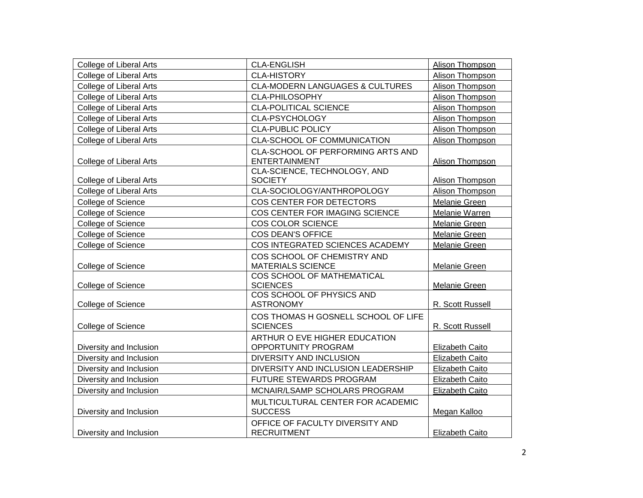| College of Liberal Arts        | <b>CLA-ENGLISH</b>                                        | Alison Thompson        |
|--------------------------------|-----------------------------------------------------------|------------------------|
| <b>College of Liberal Arts</b> | <b>CLA-HISTORY</b>                                        | Alison Thompson        |
| College of Liberal Arts        | <b>CLA-MODERN LANGUAGES &amp; CULTURES</b>                | Alison Thompson        |
| College of Liberal Arts        | CLA-PHILOSOPHY                                            | Alison Thompson        |
| College of Liberal Arts        | <b>CLA-POLITICAL SCIENCE</b>                              | Alison Thompson        |
| College of Liberal Arts        | CLA-PSYCHOLOGY                                            | Alison Thompson        |
| College of Liberal Arts        | <b>CLA-PUBLIC POLICY</b>                                  | Alison Thompson        |
| College of Liberal Arts        | CLA-SCHOOL OF COMMUNICATION                               | Alison Thompson        |
| College of Liberal Arts        | CLA-SCHOOL OF PERFORMING ARTS AND<br><b>ENTERTAINMENT</b> | Alison Thompson        |
| College of Liberal Arts        | CLA-SCIENCE, TECHNOLOGY, AND<br><b>SOCIETY</b>            | Alison Thompson        |
| College of Liberal Arts        | CLA-SOCIOLOGY/ANTHROPOLOGY                                | Alison Thompson        |
| College of Science             | COS CENTER FOR DETECTORS                                  | Melanie Green          |
| College of Science             | COS CENTER FOR IMAGING SCIENCE                            | Melanie Warren         |
| College of Science             | COS COLOR SCIENCE                                         | Melanie Green          |
| College of Science             | COS DEAN'S OFFICE                                         | Melanie Green          |
| College of Science             | COS INTEGRATED SCIENCES ACADEMY                           | Melanie Green          |
| College of Science             | COS SCHOOL OF CHEMISTRY AND<br><b>MATERIALS SCIENCE</b>   | Melanie Green          |
| College of Science             | COS SCHOOL OF MATHEMATICAL<br><b>SCIENCES</b>             | Melanie Green          |
| College of Science             | COS SCHOOL OF PHYSICS AND<br><b>ASTRONOMY</b>             | R. Scott Russell       |
| College of Science             | COS THOMAS H GOSNELL SCHOOL OF LIFE<br><b>SCIENCES</b>    | R. Scott Russell       |
| Diversity and Inclusion        | ARTHUR O EVE HIGHER EDUCATION<br>OPPORTUNITY PROGRAM      | Elizabeth Caito        |
| Diversity and Inclusion        | DIVERSITY AND INCLUSION                                   | <b>Elizabeth Caito</b> |
| Diversity and Inclusion        | DIVERSITY AND INCLUSION LEADERSHIP                        | <b>Elizabeth Caito</b> |
| Diversity and Inclusion        | FUTURE STEWARDS PROGRAM                                   | Elizabeth Caito        |
| Diversity and Inclusion        | MCNAIR/LSAMP SCHOLARS PROGRAM                             | Elizabeth Caito        |
| Diversity and Inclusion        | MULTICULTURAL CENTER FOR ACADEMIC<br><b>SUCCESS</b>       | Megan Kalloo           |
| Diversity and Inclusion        | OFFICE OF FACULTY DIVERSITY AND<br><b>RECRUITMENT</b>     | <b>Elizabeth Caito</b> |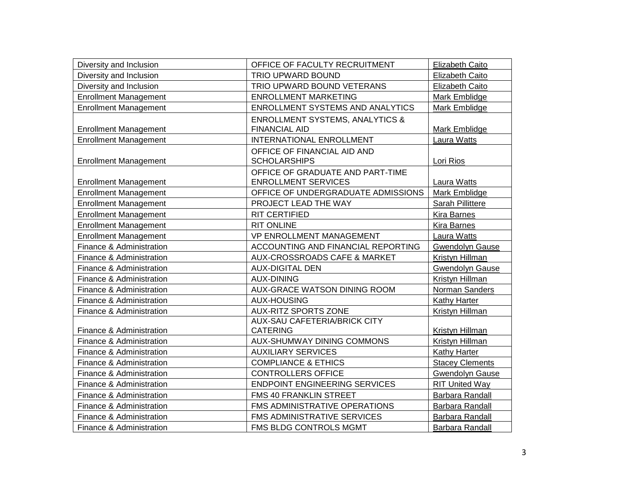| Diversity and Inclusion      | OFFICE OF FACULTY RECRUITMENT                                      | <b>Elizabeth Caito</b> |
|------------------------------|--------------------------------------------------------------------|------------------------|
| Diversity and Inclusion      | TRIO UPWARD BOUND                                                  | Elizabeth Caito        |
| Diversity and Inclusion      | TRIO UPWARD BOUND VETERANS                                         | Elizabeth Caito        |
| <b>Enrollment Management</b> | <b>ENROLLMENT MARKETING</b>                                        | Mark Emblidge          |
| <b>Enrollment Management</b> | <b>ENROLLMENT SYSTEMS AND ANALYTICS</b>                            | Mark Emblidge          |
| <b>Enrollment Management</b> | <b>ENROLLMENT SYSTEMS, ANALYTICS &amp;</b><br><b>FINANCIAL AID</b> | Mark Emblidge          |
| <b>Enrollment Management</b> | INTERNATIONAL ENROLLMENT                                           | Laura Watts            |
| <b>Enrollment Management</b> | OFFICE OF FINANCIAL AID AND<br><b>SCHOLARSHIPS</b>                 | Lori Rios              |
| <b>Enrollment Management</b> | OFFICE OF GRADUATE AND PART-TIME<br><b>ENROLLMENT SERVICES</b>     | Laura Watts            |
| <b>Enrollment Management</b> | OFFICE OF UNDERGRADUATE ADMISSIONS                                 | Mark Emblidge          |
| <b>Enrollment Management</b> | PROJECT LEAD THE WAY                                               | Sarah Pillittere       |
| <b>Enrollment Management</b> | RIT CERTIFIED                                                      | <b>Kira Barnes</b>     |
| <b>Enrollment Management</b> | <b>RIT ONLINE</b>                                                  | <b>Kira Barnes</b>     |
| <b>Enrollment Management</b> | <b>VP ENROLLMENT MANAGEMENT</b>                                    | Laura Watts            |
| Finance & Administration     | ACCOUNTING AND FINANCIAL REPORTING                                 | <b>Gwendolyn Gause</b> |
| Finance & Administration     | AUX-CROSSROADS CAFE & MARKET                                       | Kristyn Hillman        |
| Finance & Administration     | <b>AUX-DIGITAL DEN</b>                                             | <b>Gwendolyn Gause</b> |
| Finance & Administration     | <b>AUX-DINING</b>                                                  | Kristyn Hillman        |
| Finance & Administration     | <b>AUX-GRACE WATSON DINING ROOM</b>                                | Norman Sanders         |
| Finance & Administration     | <b>AUX-HOUSING</b>                                                 | Kathy Harter           |
| Finance & Administration     | <b>AUX-RITZ SPORTS ZONE</b>                                        | Kristyn Hillman        |
| Finance & Administration     | <b>AUX-SAU CAFETERIA/BRICK CITY</b><br><b>CATERING</b>             | Kristyn Hillman        |
| Finance & Administration     | <b>AUX-SHUMWAY DINING COMMONS</b>                                  | Kristyn Hillman        |
| Finance & Administration     | <b>AUXILIARY SERVICES</b>                                          | Kathy Harter           |
| Finance & Administration     | <b>COMPLIANCE &amp; ETHICS</b>                                     | <b>Stacey Clements</b> |
| Finance & Administration     | <b>CONTROLLERS OFFICE</b>                                          | <b>Gwendolyn Gause</b> |
| Finance & Administration     | <b>ENDPOINT ENGINEERING SERVICES</b>                               | <b>RIT United Way</b>  |
| Finance & Administration     | FMS 40 FRANKLIN STREET                                             | Barbara Randall        |
| Finance & Administration     | FMS ADMINISTRATIVE OPERATIONS                                      | Barbara Randall        |
| Finance & Administration     | FMS ADMINISTRATIVE SERVICES                                        | Barbara Randall        |
| Finance & Administration     | FMS BLDG CONTROLS MGMT                                             | Barbara Randall        |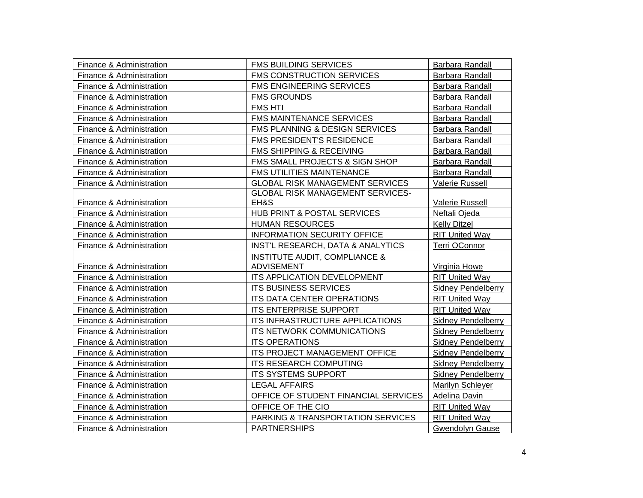| Finance & Administration | <b>FMS BUILDING SERVICES</b>             | Barbara Randall           |
|--------------------------|------------------------------------------|---------------------------|
| Finance & Administration | <b>FMS CONSTRUCTION SERVICES</b>         | Barbara Randall           |
| Finance & Administration | <b>FMS ENGINEERING SERVICES</b>          | Barbara Randall           |
| Finance & Administration | <b>FMS GROUNDS</b>                       | Barbara Randall           |
| Finance & Administration | <b>FMS HTI</b>                           | Barbara Randall           |
| Finance & Administration | <b>FMS MAINTENANCE SERVICES</b>          | Barbara Randall           |
| Finance & Administration | FMS PLANNING & DESIGN SERVICES           | Barbara Randall           |
| Finance & Administration | FMS PRESIDENT'S RESIDENCE                | Barbara Randall           |
| Finance & Administration | FMS SHIPPING & RECEIVING                 | Barbara Randall           |
| Finance & Administration | FMS SMALL PROJECTS & SIGN SHOP           | <b>Barbara Randall</b>    |
| Finance & Administration | FMS UTILITIES MAINTENANCE                | Barbara Randall           |
| Finance & Administration | <b>GLOBAL RISK MANAGEMENT SERVICES</b>   | Valerie Russell           |
|                          | <b>GLOBAL RISK MANAGEMENT SERVICES-</b>  |                           |
| Finance & Administration | EH&S                                     | Valerie Russell           |
| Finance & Administration | HUB PRINT & POSTAL SERVICES              | Neftali Ojeda             |
| Finance & Administration | <b>HUMAN RESOURCES</b>                   | <b>Kelly Ditzel</b>       |
| Finance & Administration | <b>INFORMATION SECURITY OFFICE</b>       | <b>RIT United Way</b>     |
| Finance & Administration | INST'L RESEARCH, DATA & ANALYTICS        | Terri OConnor             |
|                          | <b>INSTITUTE AUDIT, COMPLIANCE &amp;</b> |                           |
| Finance & Administration | <b>ADVISEMENT</b>                        | Virginia Howe             |
| Finance & Administration | ITS APPLICATION DEVELOPMENT              | <b>RIT United Way</b>     |
| Finance & Administration | <b>ITS BUSINESS SERVICES</b>             | <b>Sidney Pendelberry</b> |
| Finance & Administration | ITS DATA CENTER OPERATIONS               | <b>RIT United Way</b>     |
| Finance & Administration | <b>ITS ENTERPRISE SUPPORT</b>            | <b>RIT United Way</b>     |
| Finance & Administration | ITS INFRASTRUCTURE APPLICATIONS          | <b>Sidney Pendelberry</b> |
| Finance & Administration | ITS NETWORK COMMUNICATIONS               | <b>Sidney Pendelberry</b> |
| Finance & Administration | <b>ITS OPERATIONS</b>                    | <b>Sidney Pendelberry</b> |
| Finance & Administration | ITS PROJECT MANAGEMENT OFFICE            | <b>Sidney Pendelberry</b> |
| Finance & Administration | <b>ITS RESEARCH COMPUTING</b>            | <b>Sidney Pendelberry</b> |
| Finance & Administration | ITS SYSTEMS SUPPORT                      | <b>Sidney Pendelberry</b> |
| Finance & Administration | <b>LEGAL AFFAIRS</b>                     | <b>Marilyn Schleyer</b>   |
| Finance & Administration | OFFICE OF STUDENT FINANCIAL SERVICES     | <b>Adelina Davin</b>      |
| Finance & Administration | OFFICE OF THE CIO                        | <b>RIT United Way</b>     |
| Finance & Administration | PARKING & TRANSPORTATION SERVICES        | <b>RIT United Way</b>     |
| Finance & Administration | <b>PARTNERSHIPS</b>                      | <b>Gwendolyn Gause</b>    |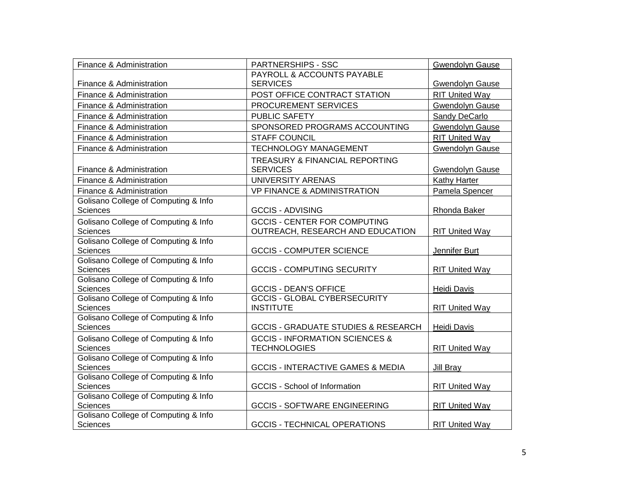| Finance & Administration                                | <b>PARTNERSHIPS - SSC</b>                      | <b>Gwendolyn Gause</b> |
|---------------------------------------------------------|------------------------------------------------|------------------------|
|                                                         | PAYROLL & ACCOUNTS PAYABLE                     |                        |
| Finance & Administration                                | <b>SERVICES</b>                                | <b>Gwendolyn Gause</b> |
| Finance & Administration                                | POST OFFICE CONTRACT STATION                   | <b>RIT United Way</b>  |
| Finance & Administration                                | PROCUREMENT SERVICES                           | <b>Gwendolyn Gause</b> |
| Finance & Administration                                | <b>PUBLIC SAFETY</b>                           | Sandy DeCarlo          |
| Finance & Administration                                | SPONSORED PROGRAMS ACCOUNTING                  | <b>Gwendolyn Gause</b> |
| Finance & Administration                                | <b>STAFF COUNCIL</b>                           | <b>RIT United Way</b>  |
| Finance & Administration                                | <b>TECHNOLOGY MANAGEMENT</b>                   | <b>Gwendolyn Gause</b> |
|                                                         | TREASURY & FINANCIAL REPORTING                 |                        |
| Finance & Administration                                | <b>SERVICES</b>                                | <b>Gwendolyn Gause</b> |
| Finance & Administration                                | UNIVERSITY ARENAS                              | Kathy Harter           |
| Finance & Administration                                | <b>VP FINANCE &amp; ADMINISTRATION</b>         | Pamela Spencer         |
| Golisano College of Computing & Info                    |                                                |                        |
| Sciences                                                | <b>GCCIS - ADVISING</b>                        | Rhonda Baker           |
| Golisano College of Computing & Info                    | <b>GCCIS - CENTER FOR COMPUTING</b>            |                        |
| <b>Sciences</b>                                         | OUTREACH, RESEARCH AND EDUCATION               | <b>RIT United Way</b>  |
| Golisano College of Computing & Info                    |                                                |                        |
| <b>Sciences</b>                                         | <b>GCCIS - COMPUTER SCIENCE</b>                | Jennifer Burt          |
| Golisano College of Computing & Info                    |                                                |                        |
| <b>Sciences</b><br>Golisano College of Computing & Info | <b>GCCIS - COMPUTING SECURITY</b>              | <b>RIT United Way</b>  |
| <b>Sciences</b>                                         | <b>GCCIS - DEAN'S OFFICE</b>                   | <b>Heidi Davis</b>     |
| Golisano College of Computing & Info                    | <b>GCCIS - GLOBAL CYBERSECURITY</b>            |                        |
| <b>Sciences</b>                                         | <b>INSTITUTE</b>                               | <b>RIT United Way</b>  |
| Golisano College of Computing & Info                    |                                                |                        |
| <b>Sciences</b>                                         | <b>GCCIS - GRADUATE STUDIES &amp; RESEARCH</b> | <b>Heidi Davis</b>     |
| Golisano College of Computing & Info                    | <b>GCCIS - INFORMATION SCIENCES &amp;</b>      |                        |
| <b>Sciences</b>                                         | <b>TECHNOLOGIES</b>                            | <b>RIT United Way</b>  |
| Golisano College of Computing & Info                    |                                                |                        |
| <b>Sciences</b>                                         | <b>GCCIS - INTERACTIVE GAMES &amp; MEDIA</b>   | Jill Bray              |
| Golisano College of Computing & Info                    |                                                |                        |
| <b>Sciences</b>                                         | <b>GCCIS - School of Information</b>           | <b>RIT United Way</b>  |
| Golisano College of Computing & Info                    |                                                |                        |
| Sciences<br>Golisano College of Computing & Info        | <b>GCCIS - SOFTWARE ENGINEERING</b>            | <b>RIT United Way</b>  |
| <b>Sciences</b>                                         | <b>GCCIS - TECHNICAL OPERATIONS</b>            | <b>RIT United Way</b>  |
|                                                         |                                                |                        |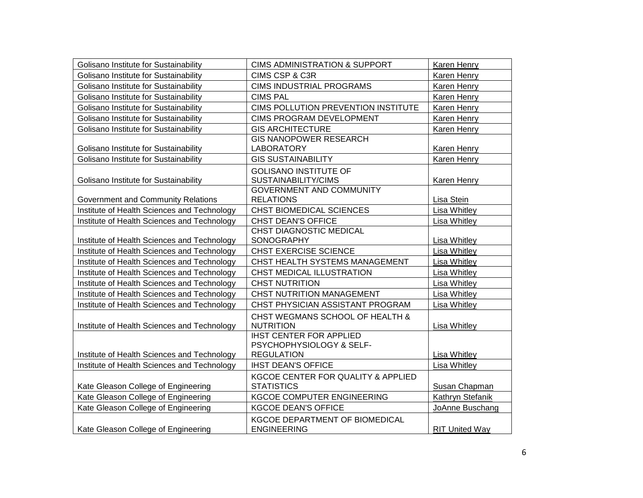| Golisano Institute for Sustainability       | <b>CIMS ADMINISTRATION &amp; SUPPORT</b>                                               | Karen Henry           |
|---------------------------------------------|----------------------------------------------------------------------------------------|-----------------------|
| Golisano Institute for Sustainability       | CIMS CSP & C3R                                                                         | Karen Henry           |
| Golisano Institute for Sustainability       | <b>CIMS INDUSTRIAL PROGRAMS</b>                                                        | Karen Henry           |
| Golisano Institute for Sustainability       | <b>CIMS PAL</b>                                                                        | Karen Henry           |
| Golisano Institute for Sustainability       | CIMS POLLUTION PREVENTION INSTITUTE                                                    | Karen Henry           |
| Golisano Institute for Sustainability       | CIMS PROGRAM DEVELOPMENT                                                               | Karen Henry           |
| Golisano Institute for Sustainability       | <b>GIS ARCHITECTURE</b>                                                                | Karen Henry           |
| Golisano Institute for Sustainability       | <b>GIS NANOPOWER RESEARCH</b><br><b>LABORATORY</b>                                     | Karen Henry           |
| Golisano Institute for Sustainability       | <b>GIS SUSTAINABILITY</b>                                                              | Karen Henry           |
| Golisano Institute for Sustainability       | <b>GOLISANO INSTITUTE OF</b><br>SUSTAINABILITY/CIMS<br><b>GOVERNMENT AND COMMUNITY</b> | Karen Henry           |
| Government and Community Relations          | <b>RELATIONS</b>                                                                       | Lisa Stein            |
| Institute of Health Sciences and Technology | CHST BIOMEDICAL SCIENCES                                                               | <b>Lisa Whitley</b>   |
| Institute of Health Sciences and Technology | CHST DEAN'S OFFICE                                                                     | Lisa Whitley          |
| Institute of Health Sciences and Technology | <b>CHST DIAGNOSTIC MEDICAL</b><br>SONOGRAPHY                                           | <b>Lisa Whitley</b>   |
| Institute of Health Sciences and Technology | <b>CHST EXERCISE SCIENCE</b>                                                           | <b>Lisa Whitley</b>   |
| Institute of Health Sciences and Technology | CHST HEALTH SYSTEMS MANAGEMENT                                                         | Lisa Whitley          |
| Institute of Health Sciences and Technology | CHST MEDICAL ILLUSTRATION                                                              | Lisa Whitley          |
| Institute of Health Sciences and Technology | <b>CHST NUTRITION</b>                                                                  | Lisa Whitley          |
| Institute of Health Sciences and Technology | CHST NUTRITION MANAGEMENT                                                              | <b>Lisa Whitley</b>   |
| Institute of Health Sciences and Technology | CHST PHYSICIAN ASSISTANT PROGRAM                                                       | Lisa Whitley          |
| Institute of Health Sciences and Technology | CHST WEGMANS SCHOOL OF HEALTH &<br><b>NUTRITION</b>                                    | <b>Lisa Whitley</b>   |
| Institute of Health Sciences and Technology | <b>IHST CENTER FOR APPLIED</b><br>PSYCHOPHYSIOLOGY & SELF-<br><b>REGULATION</b>        | Lisa Whitley          |
| Institute of Health Sciences and Technology | <b>IHST DEAN'S OFFICE</b>                                                              | Lisa Whitley          |
| Kate Gleason College of Engineering         | KGCOE CENTER FOR QUALITY & APPLIED<br><b>STATISTICS</b>                                | Susan Chapman         |
| Kate Gleason College of Engineering         | KGCOE COMPUTER ENGINEERING                                                             | Kathryn Stefanik      |
| Kate Gleason College of Engineering         | <b>KGCOE DEAN'S OFFICE</b>                                                             | JoAnne Buschang       |
| Kate Gleason College of Engineering         | KGCOE DEPARTMENT OF BIOMEDICAL<br><b>ENGINEERING</b>                                   | <b>RIT United Way</b> |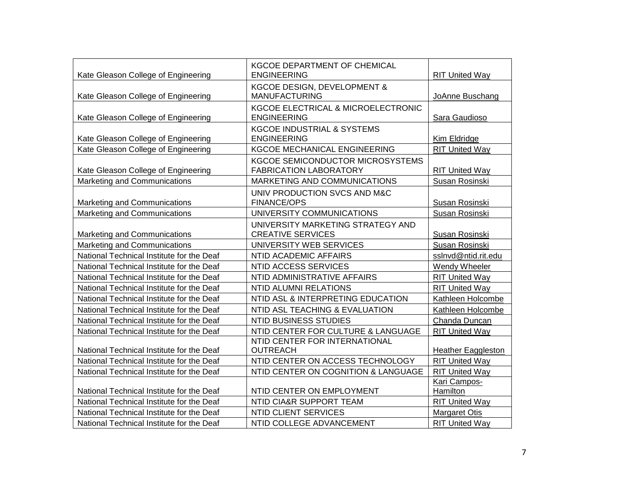| Kate Gleason College of Engineering       | KGCOE DEPARTMENT OF CHEMICAL<br><b>ENGINEERING</b>                       | <b>RIT United Way</b>     |
|-------------------------------------------|--------------------------------------------------------------------------|---------------------------|
| Kate Gleason College of Engineering       | KGCOE DESIGN, DEVELOPMENT &<br><b>MANUFACTURING</b>                      | JoAnne Buschang           |
| Kate Gleason College of Engineering       | KGCOE ELECTRICAL & MICROELECTRONIC<br><b>ENGINEERING</b>                 | Sara Gaudioso             |
| Kate Gleason College of Engineering       | <b>KGCOE INDUSTRIAL &amp; SYSTEMS</b><br><b>ENGINEERING</b>              | Kim Eldridge              |
| Kate Gleason College of Engineering       | KGCOE MECHANICAL ENGINEERING                                             | <b>RIT United Way</b>     |
| Kate Gleason College of Engineering       | <b>KGCOE SEMICONDUCTOR MICROSYSTEMS</b><br><b>FABRICATION LABORATORY</b> | <b>RIT United Way</b>     |
| Marketing and Communications              | MARKETING AND COMMUNICATIONS                                             | Susan Rosinski            |
| Marketing and Communications              | UNIV PRODUCTION SVCS AND M&C<br><b>FINANCE/OPS</b>                       | Susan Rosinski            |
| Marketing and Communications              | UNIVERSITY COMMUNICATIONS                                                | Susan Rosinski            |
| Marketing and Communications              | UNIVERSITY MARKETING STRATEGY AND<br><b>CREATIVE SERVICES</b>            | Susan Rosinski            |
| Marketing and Communications              | UNIVERSITY WEB SERVICES                                                  | Susan Rosinski            |
| National Technical Institute for the Deaf | NTID ACADEMIC AFFAIRS                                                    | sslnvd@ntid.rit.edu       |
| National Technical Institute for the Deaf | NTID ACCESS SERVICES                                                     | Wendy Wheeler             |
| National Technical Institute for the Deaf | NTID ADMINISTRATIVE AFFAIRS                                              | <b>RIT United Way</b>     |
| National Technical Institute for the Deaf | NTID ALUMNI RELATIONS                                                    | <b>RIT United Way</b>     |
| National Technical Institute for the Deaf | NTID ASL & INTERPRETING EDUCATION                                        | Kathleen Holcombe         |
| National Technical Institute for the Deaf | NTID ASL TEACHING & EVALUATION                                           | Kathleen Holcombe         |
| National Technical Institute for the Deaf | <b>NTID BUSINESS STUDIES</b>                                             | Chanda Duncan             |
| National Technical Institute for the Deaf | NTID CENTER FOR CULTURE & LANGUAGE                                       | <b>RIT United Way</b>     |
| National Technical Institute for the Deaf | NTID CENTER FOR INTERNATIONAL<br><b>OUTREACH</b>                         | <b>Heather Eaggleston</b> |
| National Technical Institute for the Deaf | NTID CENTER ON ACCESS TECHNOLOGY                                         | <b>RIT United Way</b>     |
| National Technical Institute for the Deaf | NTID CENTER ON COGNITION & LANGUAGE                                      | <b>RIT United Way</b>     |
| National Technical Institute for the Deaf | NTID CENTER ON EMPLOYMENT                                                | Kari Campos-<br>Hamilton  |
| National Technical Institute for the Deaf | NTID CIA&R SUPPORT TEAM                                                  | <b>RIT United Way</b>     |
| National Technical Institute for the Deaf | NTID CLIENT SERVICES                                                     | <b>Margaret Otis</b>      |
| National Technical Institute for the Deaf | NTID COLLEGE ADVANCEMENT                                                 | <b>RIT United Way</b>     |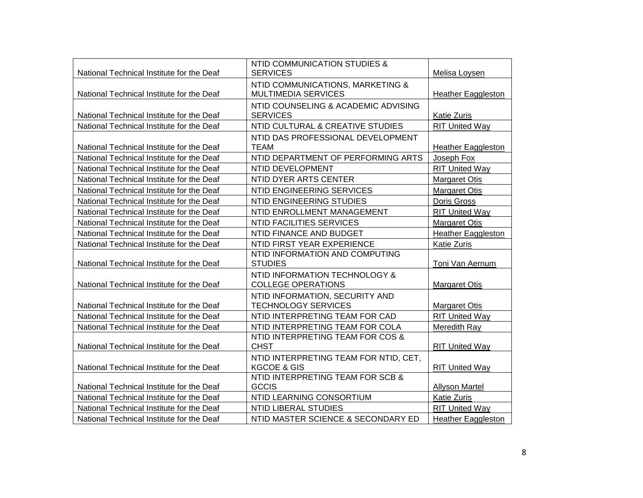|                                           | NTID COMMUNICATION STUDIES &          |                           |
|-------------------------------------------|---------------------------------------|---------------------------|
| National Technical Institute for the Deaf | <b>SERVICES</b>                       | Melisa Loysen             |
|                                           | NTID COMMUNICATIONS, MARKETING &      |                           |
| National Technical Institute for the Deaf | <b>MULTIMEDIA SERVICES</b>            | <b>Heather Eaggleston</b> |
|                                           | NTID COUNSELING & ACADEMIC ADVISING   |                           |
| National Technical Institute for the Deaf | <b>SERVICES</b>                       | <b>Katie Zuris</b>        |
| National Technical Institute for the Deaf | NTID CULTURAL & CREATIVE STUDIES      | <b>RIT United Way</b>     |
|                                           | NTID DAS PROFESSIONAL DEVELOPMENT     |                           |
| National Technical Institute for the Deaf | <b>TEAM</b>                           | <b>Heather Eaggleston</b> |
| National Technical Institute for the Deaf | NTID DEPARTMENT OF PERFORMING ARTS    | Joseph Fox                |
| National Technical Institute for the Deaf | NTID DEVELOPMENT                      | <b>RIT United Way</b>     |
| National Technical Institute for the Deaf | NTID DYER ARTS CENTER                 | <b>Margaret Otis</b>      |
| National Technical Institute for the Deaf | NTID ENGINEERING SERVICES             | <b>Margaret Otis</b>      |
| National Technical Institute for the Deaf | NTID ENGINEERING STUDIES              | Doris Gross               |
| National Technical Institute for the Deaf | NTID ENROLLMENT MANAGEMENT            | <b>RIT United Way</b>     |
| National Technical Institute for the Deaf | <b>NTID FACILITIES SERVICES</b>       | <b>Margaret Otis</b>      |
| National Technical Institute for the Deaf | NTID FINANCE AND BUDGET               | <b>Heather Eaggleston</b> |
| National Technical Institute for the Deaf | NTID FIRST YEAR EXPERIENCE            | <b>Katie Zuris</b>        |
|                                           | NTID INFORMATION AND COMPUTING        |                           |
| National Technical Institute for the Deaf | <b>STUDIES</b>                        | Toni Van Aernum           |
|                                           | NTID INFORMATION TECHNOLOGY &         |                           |
| National Technical Institute for the Deaf | <b>COLLEGE OPERATIONS</b>             | <b>Margaret Otis</b>      |
|                                           | NTID INFORMATION, SECURITY AND        |                           |
| National Technical Institute for the Deaf | <b>TECHNOLOGY SERVICES</b>            | <b>Margaret Otis</b>      |
| National Technical Institute for the Deaf | NTID INTERPRETING TEAM FOR CAD        | <b>RIT United Way</b>     |
| National Technical Institute for the Deaf | NTID INTERPRETING TEAM FOR COLA       | Meredith Ray              |
|                                           | NTID INTERPRETING TEAM FOR COS &      |                           |
| National Technical Institute for the Deaf | <b>CHST</b>                           | <b>RIT United Way</b>     |
|                                           | NTID INTERPRETING TEAM FOR NTID, CET, |                           |
| National Technical Institute for the Deaf | <b>KGCOE &amp; GIS</b>                | <b>RIT United Way</b>     |
|                                           | NTID INTERPRETING TEAM FOR SCB &      |                           |
| National Technical Institute for the Deaf | <b>GCCIS</b>                          | <b>Allyson Martel</b>     |
| National Technical Institute for the Deaf | NTID LEARNING CONSORTIUM              | <b>Katie Zuris</b>        |
| National Technical Institute for the Deaf | NTID LIBERAL STUDIES                  | <b>RIT United Way</b>     |
| National Technical Institute for the Deaf | NTID MASTER SCIENCE & SECONDARY ED    | <b>Heather Eaggleston</b> |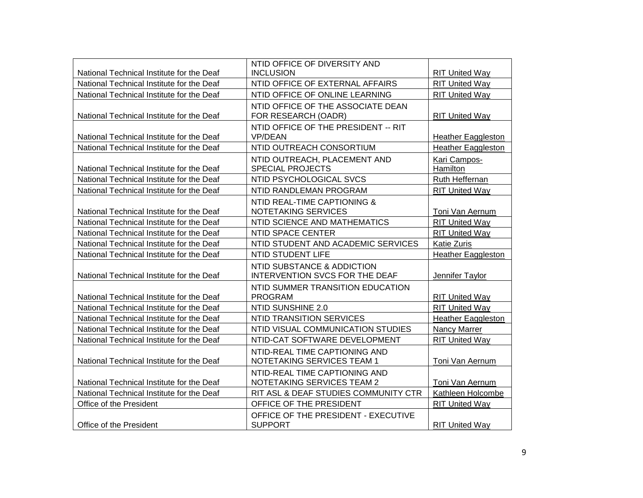|                                           | NTID OFFICE OF DIVERSITY AND                                 |                           |
|-------------------------------------------|--------------------------------------------------------------|---------------------------|
| National Technical Institute for the Deaf | <b>INCLUSION</b>                                             | <b>RIT United Way</b>     |
| National Technical Institute for the Deaf | NTID OFFICE OF EXTERNAL AFFAIRS                              | <b>RIT United Way</b>     |
| National Technical Institute for the Deaf | NTID OFFICE OF ONLINE LEARNING                               | <b>RIT United Way</b>     |
| National Technical Institute for the Deaf | NTID OFFICE OF THE ASSOCIATE DEAN<br>FOR RESEARCH (OADR)     | <b>RIT United Way</b>     |
|                                           | NTID OFFICE OF THE PRESIDENT -- RIT                          |                           |
| National Technical Institute for the Deaf | <b>VP/DEAN</b>                                               | <b>Heather Eaggleston</b> |
| National Technical Institute for the Deaf | NTID OUTREACH CONSORTIUM                                     | <b>Heather Eaggleston</b> |
| National Technical Institute for the Deaf | NTID OUTREACH, PLACEMENT AND<br><b>SPECIAL PROJECTS</b>      | Kari Campos-<br>Hamilton  |
| National Technical Institute for the Deaf | NTID PSYCHOLOGICAL SVCS                                      | Ruth Heffernan            |
| National Technical Institute for the Deaf | NTID RANDLEMAN PROGRAM                                       | <b>RIT United Way</b>     |
| National Technical Institute for the Deaf | NTID REAL-TIME CAPTIONING &<br>NOTETAKING SERVICES           | Toni Van Aernum           |
| National Technical Institute for the Deaf | NTID SCIENCE AND MATHEMATICS                                 | <b>RIT United Way</b>     |
| National Technical Institute for the Deaf | NTID SPACE CENTER                                            | <b>RIT United Wav</b>     |
| National Technical Institute for the Deaf | NTID STUDENT AND ACADEMIC SERVICES                           | <b>Katie Zuris</b>        |
| National Technical Institute for the Deaf | <b>NTID STUDENT LIFE</b>                                     | <b>Heather Eaggleston</b> |
|                                           |                                                              |                           |
| National Technical Institute for the Deaf | NTID SUBSTANCE & ADDICTION<br>INTERVENTION SVCS FOR THE DEAF | Jennifer Taylor           |
| National Technical Institute for the Deaf | NTID SUMMER TRANSITION EDUCATION<br><b>PROGRAM</b>           | <b>RIT United Way</b>     |
| National Technical Institute for the Deaf | NTID SUNSHINE 2.0                                            | <b>RIT United Way</b>     |
| National Technical Institute for the Deaf | NTID TRANSITION SERVICES                                     | Heather Eaggleston        |
| National Technical Institute for the Deaf | NTID VISUAL COMMUNICATION STUDIES                            | Nancy Marrer              |
| National Technical Institute for the Deaf | NTID-CAT SOFTWARE DEVELOPMENT                                | <b>RIT United Way</b>     |
| National Technical Institute for the Deaf | NTID-REAL TIME CAPTIONING AND<br>NOTETAKING SERVICES TEAM 1  | Toni Van Aernum           |
| National Technical Institute for the Deaf | NTID-REAL TIME CAPTIONING AND<br>NOTETAKING SERVICES TEAM 2  | Toni Van Aernum           |
| National Technical Institute for the Deaf | RIT ASL & DEAF STUDIES COMMUNITY CTR                         | Kathleen Holcombe         |
| Office of the President                   | OFFICE OF THE PRESIDENT                                      | <b>RIT United Way</b>     |
| Office of the President                   | OFFICE OF THE PRESIDENT - EXECUTIVE<br><b>SUPPORT</b>        | <b>RIT United Way</b>     |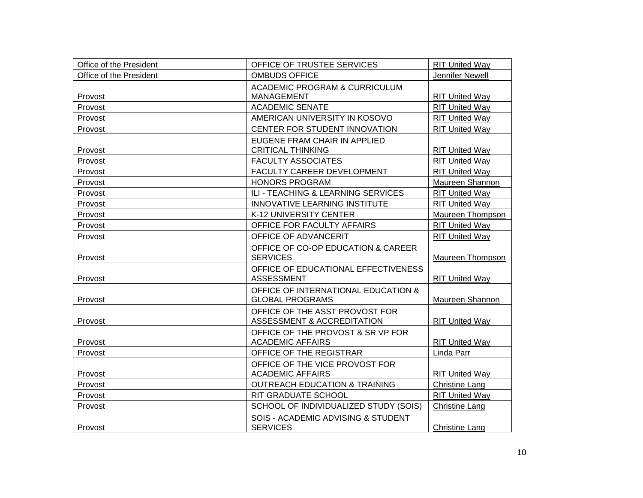| Office of the President | OFFICE OF TRUSTEE SERVICES                                    | <b>RIT United Way</b> |
|-------------------------|---------------------------------------------------------------|-----------------------|
| Office of the President | <b>OMBUDS OFFICE</b>                                          | Jennifer Newell       |
| Provost                 | ACADEMIC PROGRAM & CURRICULUM<br><b>MANAGEMENT</b>            | <b>RIT United Way</b> |
| Provost                 | <b>ACADEMIC SENATE</b>                                        | <b>RIT United Way</b> |
| Provost                 | AMERICAN UNIVERSITY IN KOSOVO                                 | <b>RIT United Way</b> |
| Provost                 | CENTER FOR STUDENT INNOVATION                                 | <b>RIT United Way</b> |
| Provost                 | EUGENE FRAM CHAIR IN APPLIED<br><b>CRITICAL THINKING</b>      | <b>RIT United Way</b> |
| Provost                 | <b>FACULTY ASSOCIATES</b>                                     | <b>RIT United Way</b> |
| Provost                 | FACULTY CAREER DEVELOPMENT                                    | <b>RIT United Way</b> |
| Provost                 | <b>HONORS PROGRAM</b>                                         | Maureen Shannon       |
| Provost                 | ILI - TEACHING & LEARNING SERVICES                            | <b>RIT United Way</b> |
| Provost                 | <b>INNOVATIVE LEARNING INSTITUTE</b>                          | <b>RIT United Way</b> |
| Provost                 | K-12 UNIVERSITY CENTER                                        | Maureen Thompson      |
| Provost                 | OFFICE FOR FACULTY AFFAIRS                                    | RIT United Way        |
| Provost                 | OFFICE OF ADVANCERIT                                          | RIT United Way        |
| Provost                 | OFFICE OF CO-OP EDUCATION & CAREER<br><b>SERVICES</b>         | Maureen Thompson      |
| Provost                 | OFFICE OF EDUCATIONAL EFFECTIVENESS<br><b>ASSESSMENT</b>      | <b>RIT United Way</b> |
| Provost                 | OFFICE OF INTERNATIONAL EDUCATION &<br><b>GLOBAL PROGRAMS</b> | Maureen Shannon       |
| Provost                 | OFFICE OF THE ASST PROVOST FOR<br>ASSESSMENT & ACCREDITATION  | <b>RIT United Way</b> |
| Provost                 | OFFICE OF THE PROVOST & SR VP FOR<br><b>ACADEMIC AFFAIRS</b>  | <b>RIT United Way</b> |
| Provost                 | OFFICE OF THE REGISTRAR                                       | Linda Parr            |
| Provost                 | OFFICE OF THE VICE PROVOST FOR<br><b>ACADEMIC AFFAIRS</b>     | <b>RIT United Way</b> |
| Provost                 | <b>OUTREACH EDUCATION &amp; TRAINING</b>                      | <b>Christine Lang</b> |
| Provost                 | RIT GRADUATE SCHOOL                                           | <b>RIT United Way</b> |
| Provost                 | SCHOOL OF INDIVIDUALIZED STUDY (SOIS)                         | <b>Christine Lang</b> |
| Provost                 | SOIS - ACADEMIC ADVISING & STUDENT<br><b>SERVICES</b>         | Christine Lang        |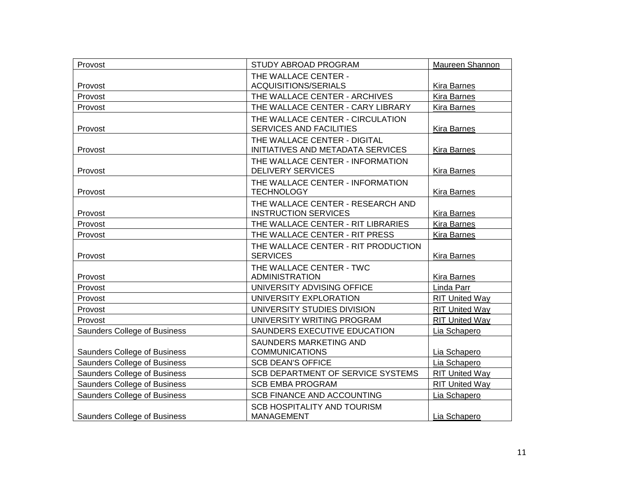| Provost                      | STUDY ABROAD PROGRAM                | Maureen Shannon       |
|------------------------------|-------------------------------------|-----------------------|
|                              | THE WALLACE CENTER -                |                       |
| Provost                      | ACQUISITIONS/SERIALS                | <b>Kira Barnes</b>    |
| Provost                      | THE WALLACE CENTER - ARCHIVES       | <b>Kira Barnes</b>    |
| Provost                      | THE WALLACE CENTER - CARY LIBRARY   | Kira Barnes           |
|                              | THE WALLACE CENTER - CIRCULATION    |                       |
| Provost                      | <b>SERVICES AND FACILITIES</b>      | <b>Kira Barnes</b>    |
|                              | THE WALLACE CENTER - DIGITAL        |                       |
| Provost                      | INITIATIVES AND METADATA SERVICES   | Kira Barnes           |
|                              | THE WALLACE CENTER - INFORMATION    |                       |
| Provost                      | <b>DELIVERY SERVICES</b>            | <b>Kira Barnes</b>    |
|                              | THE WALLACE CENTER - INFORMATION    |                       |
| Provost                      | <b>TECHNOLOGY</b>                   | <b>Kira Barnes</b>    |
|                              | THE WALLACE CENTER - RESEARCH AND   |                       |
| Provost                      | <b>INSTRUCTION SERVICES</b>         | <b>Kira Barnes</b>    |
| Provost                      | THE WALLACE CENTER - RIT LIBRARIES  | <b>Kira Barnes</b>    |
| Provost                      | THE WALLACE CENTER - RIT PRESS      | <b>Kira Barnes</b>    |
|                              | THE WALLACE CENTER - RIT PRODUCTION |                       |
| Provost                      | <b>SERVICES</b>                     | <b>Kira Barnes</b>    |
|                              | THE WALLACE CENTER - TWC            |                       |
| Provost                      | <b>ADMINISTRATION</b>               | <b>Kira Barnes</b>    |
| Provost                      | UNIVERSITY ADVISING OFFICE          | Linda Parr            |
| Provost                      | UNIVERSITY EXPLORATION              | <b>RIT United Way</b> |
| Provost                      | UNIVERSITY STUDIES DIVISION         | <b>RIT United Way</b> |
| Provost                      | UNIVERSITY WRITING PROGRAM          | <b>RIT United Way</b> |
| Saunders College of Business | SAUNDERS EXECUTIVE EDUCATION        | Lia Schapero          |
|                              | SAUNDERS MARKETING AND              |                       |
| Saunders College of Business | <b>COMMUNICATIONS</b>               | Lia Schapero          |
| Saunders College of Business | <b>SCB DEAN'S OFFICE</b>            | Lia Schapero          |
| Saunders College of Business | SCB DEPARTMENT OF SERVICE SYSTEMS   | <b>RIT United Way</b> |
| Saunders College of Business | <b>SCB EMBA PROGRAM</b>             | <b>RIT United Way</b> |
| Saunders College of Business | <b>SCB FINANCE AND ACCOUNTING</b>   | Lia Schapero          |
|                              | SCB HOSPITALITY AND TOURISM         |                       |
| Saunders College of Business | <b>MANAGEMENT</b>                   | Lia Schapero          |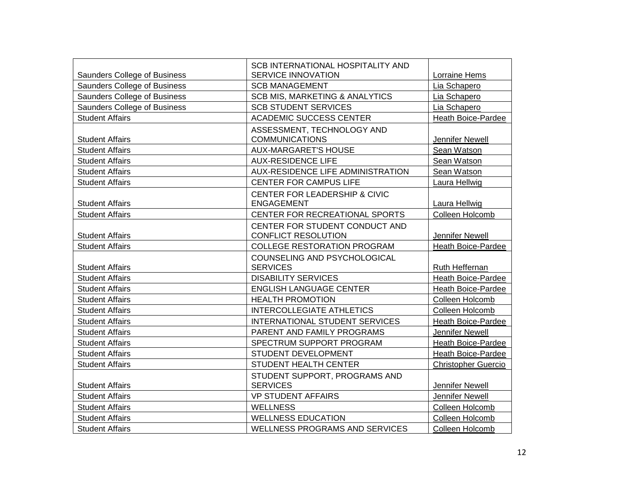|                                     | <b>SCB INTERNATIONAL HOSPITALITY AND</b>  |                            |
|-------------------------------------|-------------------------------------------|----------------------------|
| Saunders College of Business        | <b>SERVICE INNOVATION</b>                 | Lorraine Hems              |
| Saunders College of Business        | <b>SCB MANAGEMENT</b>                     | Lia Schapero               |
| Saunders College of Business        | <b>SCB MIS, MARKETING &amp; ANALYTICS</b> | Lia Schapero               |
| <b>Saunders College of Business</b> | <b>SCB STUDENT SERVICES</b>               | Lia Schapero               |
| <b>Student Affairs</b>              | <b>ACADEMIC SUCCESS CENTER</b>            | Heath Boice-Pardee         |
|                                     | ASSESSMENT, TECHNOLOGY AND                |                            |
| <b>Student Affairs</b>              | <b>COMMUNICATIONS</b>                     | Jennifer Newell            |
| <b>Student Affairs</b>              | <b>AUX-MARGARET'S HOUSE</b>               | Sean Watson                |
| <b>Student Affairs</b>              | <b>AUX-RESIDENCE LIFE</b>                 | Sean Watson                |
| <b>Student Affairs</b>              | AUX-RESIDENCE LIFE ADMINISTRATION         | Sean Watson                |
| <b>Student Affairs</b>              | CENTER FOR CAMPUS LIFE                    | Laura Hellwig              |
|                                     | CENTER FOR LEADERSHIP & CIVIC             |                            |
| <b>Student Affairs</b>              | <b>ENGAGEMENT</b>                         | Laura Hellwig              |
| <b>Student Affairs</b>              | CENTER FOR RECREATIONAL SPORTS            | Colleen Holcomb            |
|                                     | CENTER FOR STUDENT CONDUCT AND            |                            |
| <b>Student Affairs</b>              | <b>CONFLICT RESOLUTION</b>                | <b>Jennifer Newell</b>     |
| <b>Student Affairs</b>              | <b>COLLEGE RESTORATION PROGRAM</b>        | Heath Boice-Pardee         |
|                                     | COUNSELING AND PSYCHOLOGICAL              |                            |
| <b>Student Affairs</b>              | <b>SERVICES</b>                           | Ruth Heffernan             |
| <b>Student Affairs</b>              | <b>DISABILITY SERVICES</b>                | Heath Boice-Pardee         |
| <b>Student Affairs</b>              | <b>ENGLISH LANGUAGE CENTER</b>            | Heath Boice-Pardee         |
| <b>Student Affairs</b>              | <b>HEALTH PROMOTION</b>                   | Colleen Holcomb            |
| <b>Student Affairs</b>              | <b>INTERCOLLEGIATE ATHLETICS</b>          | Colleen Holcomb            |
| <b>Student Affairs</b>              | <b>INTERNATIONAL STUDENT SERVICES</b>     | <b>Heath Boice-Pardee</b>  |
| <b>Student Affairs</b>              | PARENT AND FAMILY PROGRAMS                | Jennifer Newell            |
| <b>Student Affairs</b>              | SPECTRUM SUPPORT PROGRAM                  | Heath Boice-Pardee         |
| <b>Student Affairs</b>              | STUDENT DEVELOPMENT                       | Heath Boice-Pardee         |
| <b>Student Affairs</b>              | STUDENT HEALTH CENTER                     | <b>Christopher Guercio</b> |
|                                     | STUDENT SUPPORT, PROGRAMS AND             |                            |
| <b>Student Affairs</b>              | <b>SERVICES</b>                           | Jennifer Newell            |
| <b>Student Affairs</b>              | <b>VP STUDENT AFFAIRS</b>                 | Jennifer Newell            |
| <b>Student Affairs</b>              | <b>WELLNESS</b>                           | Colleen Holcomb            |
| <b>Student Affairs</b>              | <b>WELLNESS EDUCATION</b>                 | Colleen Holcomb            |
| <b>Student Affairs</b>              | <b>WELLNESS PROGRAMS AND SERVICES</b>     | Colleen Holcomb            |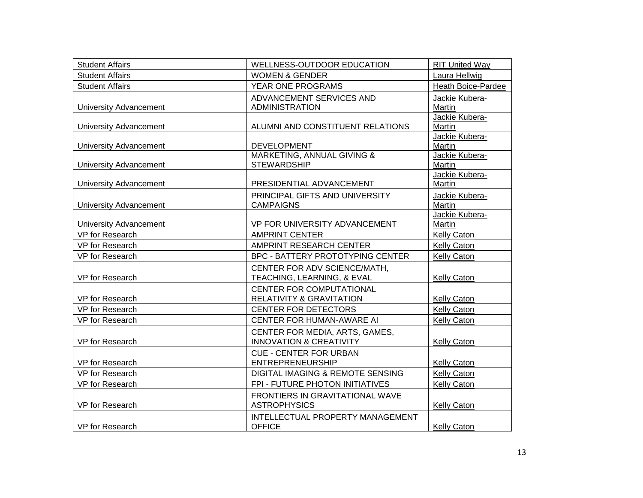| <b>Student Affairs</b>        | WELLNESS-OUTDOOR EDUCATION         | <b>RIT United Way</b>    |
|-------------------------------|------------------------------------|--------------------------|
| <b>Student Affairs</b>        | <b>WOMEN &amp; GENDER</b>          | Laura Hellwig            |
| <b>Student Affairs</b>        | YEAR ONE PROGRAMS                  | Heath Boice-Pardee       |
|                               | ADVANCEMENT SERVICES AND           | Jackie Kubera-           |
| <b>University Advancement</b> | <b>ADMINISTRATION</b>              | Martin                   |
|                               |                                    | Jackie Kubera-           |
| University Advancement        | ALUMNI AND CONSTITUENT RELATIONS   | Martin                   |
| <b>University Advancement</b> | <b>DEVELOPMENT</b>                 | Jackie Kubera-<br>Martin |
|                               | MARKETING, ANNUAL GIVING &         | Jackie Kubera-           |
| <b>University Advancement</b> | <b>STEWARDSHIP</b>                 | Martin                   |
|                               |                                    | Jackie Kubera-           |
| <b>University Advancement</b> | PRESIDENTIAL ADVANCEMENT           | Martin                   |
|                               | PRINCIPAL GIFTS AND UNIVERSITY     | Jackie Kubera-           |
| <b>University Advancement</b> | <b>CAMPAIGNS</b>                   | Martin                   |
|                               |                                    | Jackie Kubera-           |
| <b>University Advancement</b> | VP FOR UNIVERSITY ADVANCEMENT      | Martin                   |
| VP for Research               | <b>AMPRINT CENTER</b>              | Kelly Caton              |
| VP for Research               | AMPRINT RESEARCH CENTER            | Kelly Caton              |
| VP for Research               | BPC - BATTERY PROTOTYPING CENTER   | Kelly Caton              |
|                               | CENTER FOR ADV SCIENCE/MATH,       |                          |
| VP for Research               | TEACHING, LEARNING, & EVAL         | <b>Kelly Caton</b>       |
|                               | <b>CENTER FOR COMPUTATIONAL</b>    |                          |
| VP for Research               | RELATIVITY & GRAVITATION           | Kelly Caton              |
| VP for Research               | <b>CENTER FOR DETECTORS</b>        | <b>Kelly Caton</b>       |
| VP for Research               | CENTER FOR HUMAN-AWARE AI          | Kelly Caton              |
|                               | CENTER FOR MEDIA, ARTS, GAMES,     |                          |
| VP for Research               | <b>INNOVATION &amp; CREATIVITY</b> | <b>Kelly Caton</b>       |
|                               | <b>CUE - CENTER FOR URBAN</b>      |                          |
| VP for Research               | <b>ENTREPRENEURSHIP</b>            | <b>Kelly Caton</b>       |
| VP for Research               | DIGITAL IMAGING & REMOTE SENSING   | <b>Kelly Caton</b>       |
| VP for Research               | FPI - FUTURE PHOTON INITIATIVES    | Kelly Caton              |
|                               | FRONTIERS IN GRAVITATIONAL WAVE    |                          |
| VP for Research               | <b>ASTROPHYSICS</b>                | <b>Kelly Caton</b>       |
|                               | INTELLECTUAL PROPERTY MANAGEMENT   |                          |
| VP for Research               | <b>OFFICE</b>                      | <b>Kelly Caton</b>       |